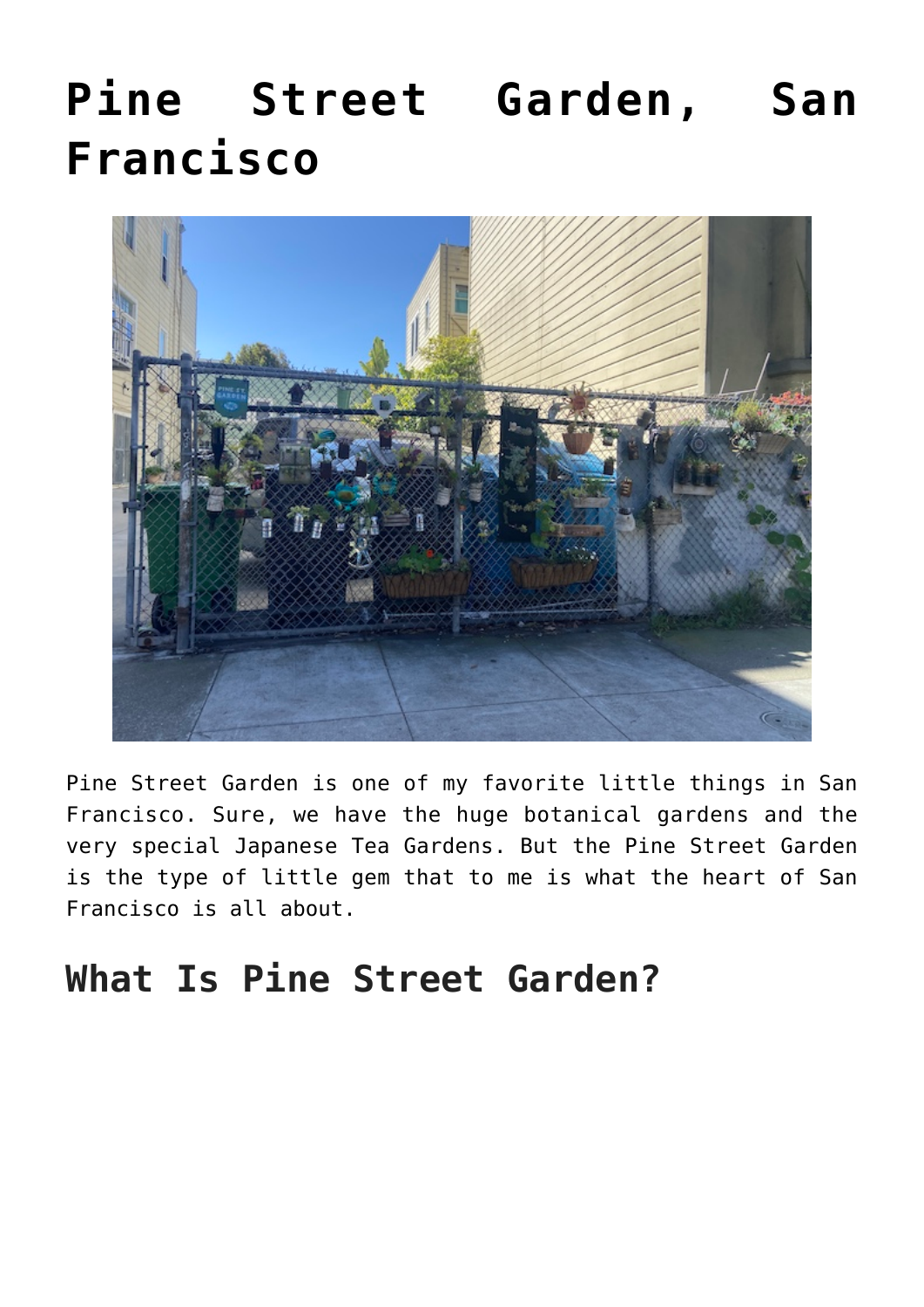# **[Pine Street Garden, San](https://www.frugalgardening.com/pine-street-garden-san-francisco.html) [Francisco](https://www.frugalgardening.com/pine-street-garden-san-francisco.html)**



Pine Street Garden is one of my favorite little things in San Francisco. Sure, we have the huge botanical gardens and the very special Japanese Tea Gardens. But the Pine Street Garden is the type of little gem that to me is what the heart of San Francisco is all about.

# **What Is Pine Street Garden?**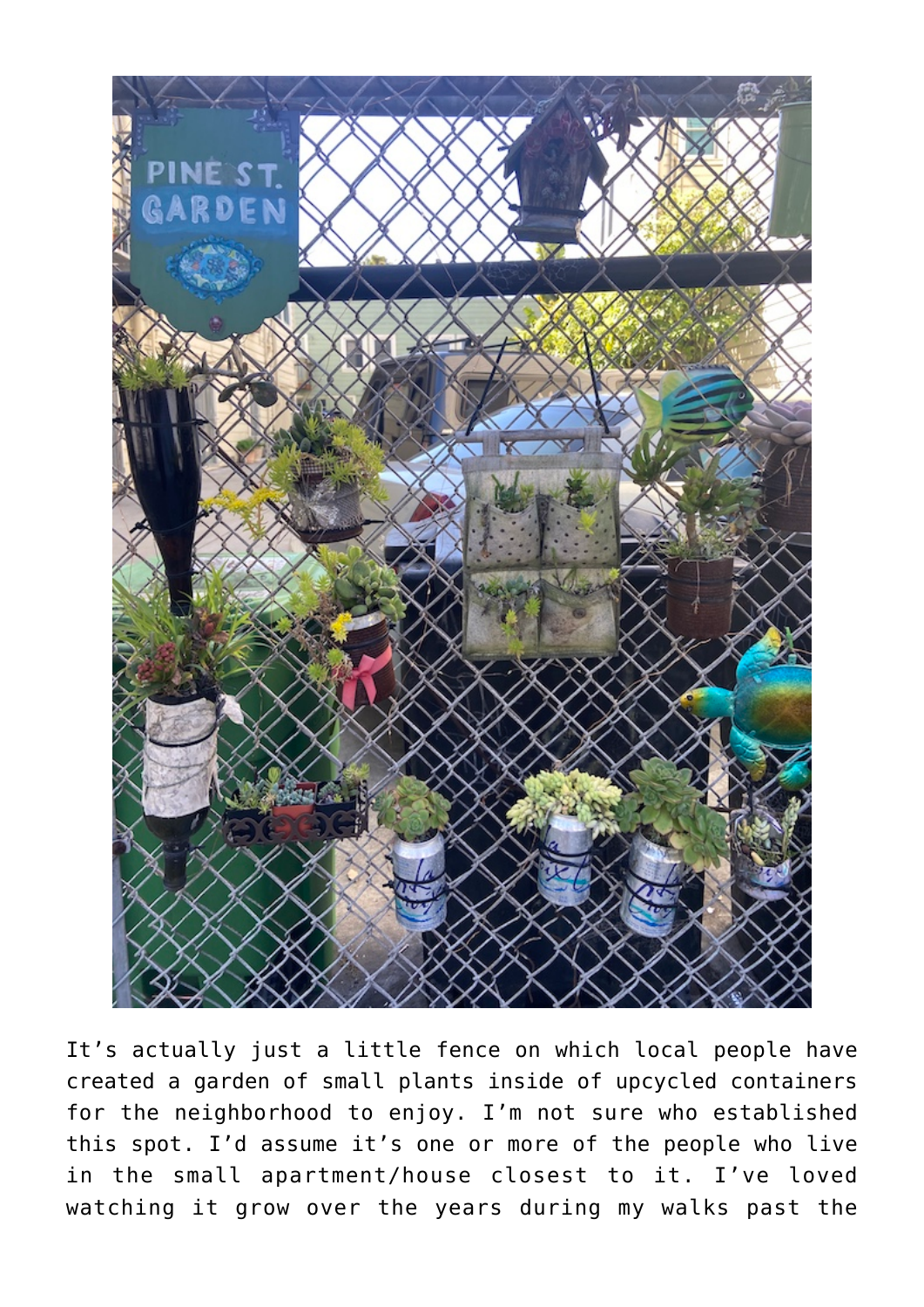

It's actually just a little fence on which local people have created a garden of small plants inside of upcycled containers for the neighborhood to enjoy. I'm not sure who established this spot. I'd assume it's one or more of the people who live in the small apartment/house closest to it. I've loved watching it grow over the years during my walks past the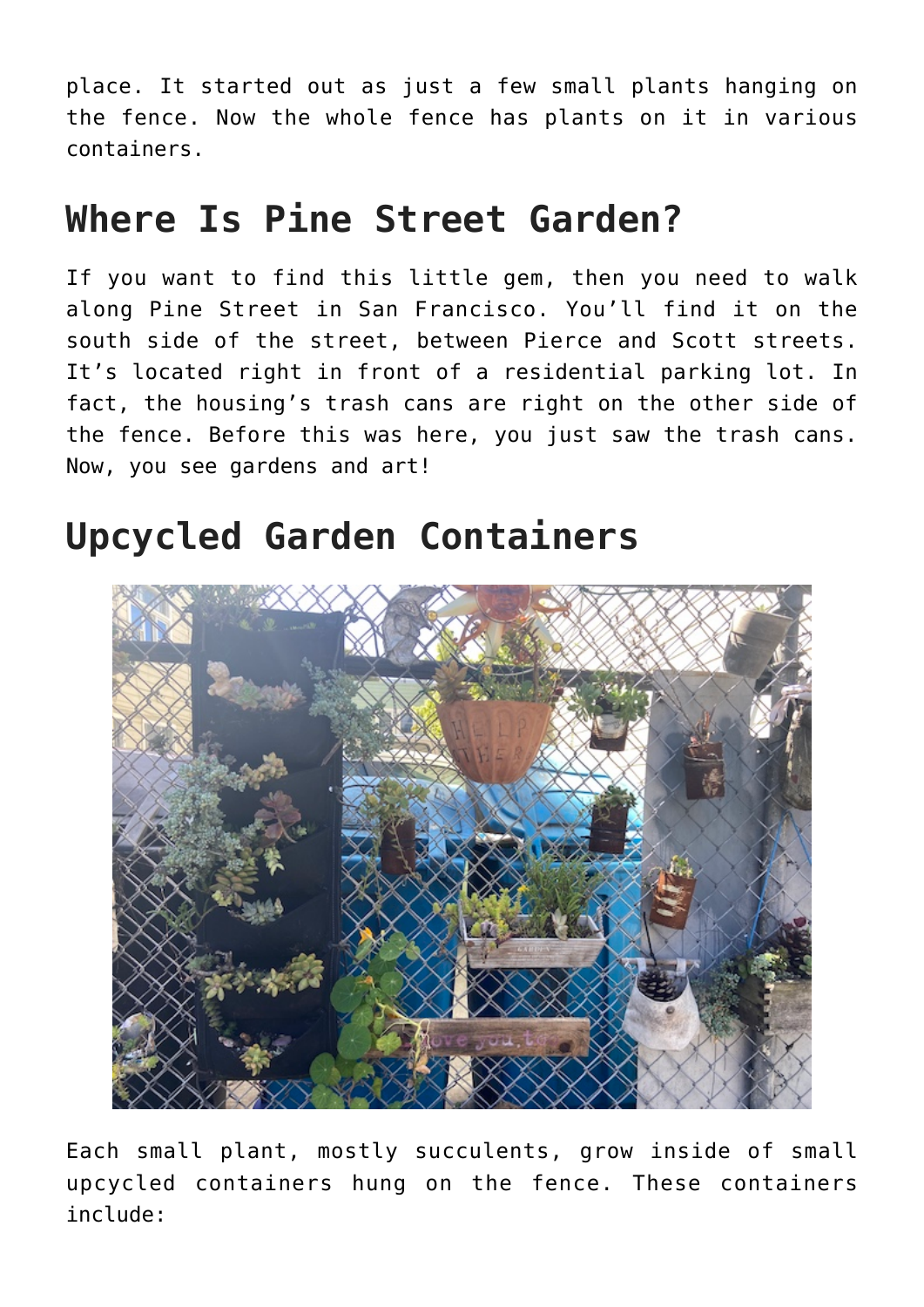place. It started out as just a few small plants hanging on the fence. Now the whole fence has plants on it in various containers.

# **Where Is Pine Street Garden?**

If you want to find this little gem, then you need to walk along Pine Street in San Francisco. You'll find it on the south side of the street, between Pierce and Scott streets. It's located right in front of a residential parking lot. In fact, the housing's trash cans are right on the other side of the fence. Before this was here, you just saw the trash cans. Now, you see gardens and art!

# **Upcycled Garden Containers**



Each small plant, mostly succulents, grow inside of small upcycled containers hung on the fence. These containers include: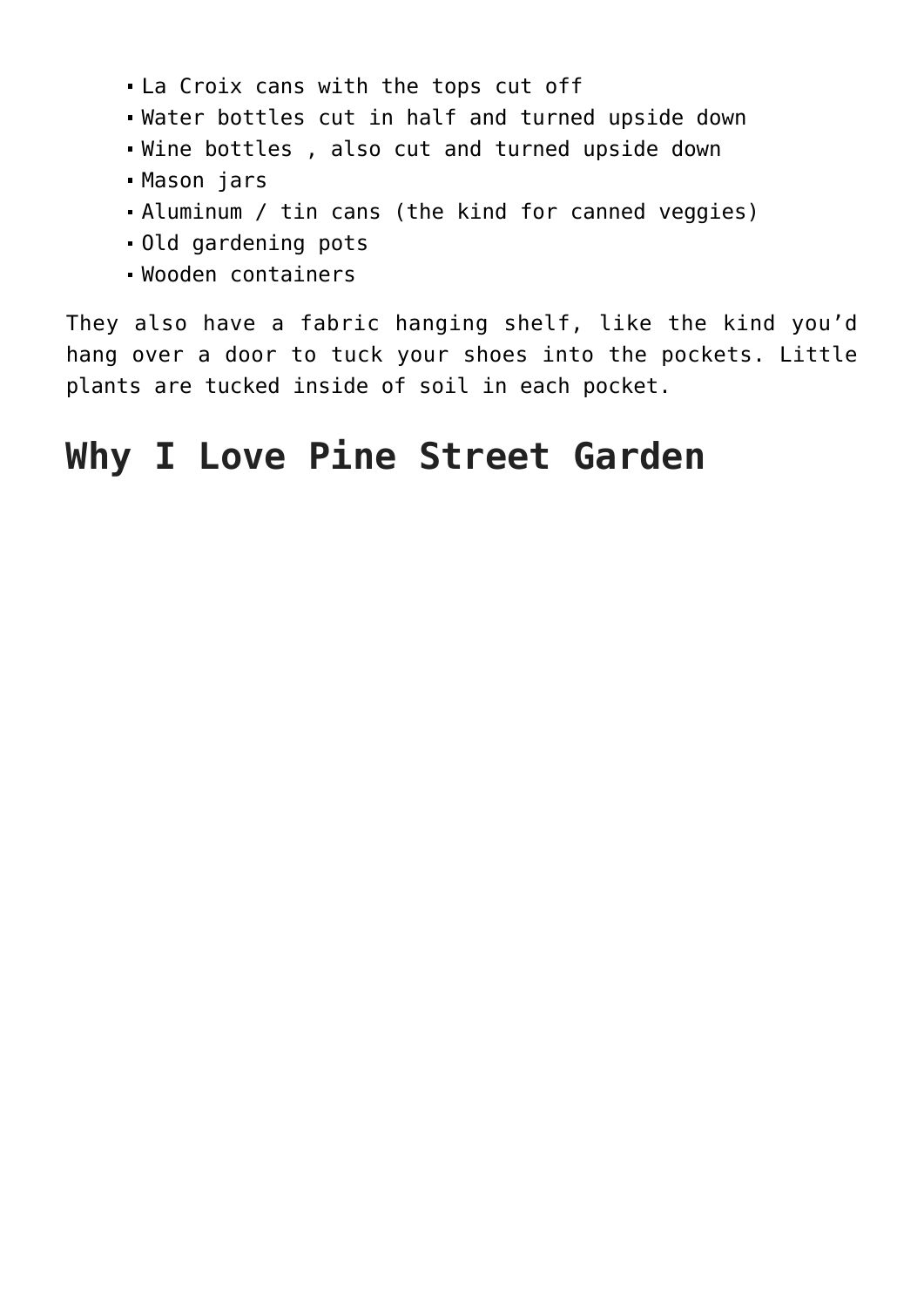- La Croix cans with the tops cut off
- Water bottles cut in half and turned upside down
- Wine bottles , also cut and turned upside down
- Mason jars
- Aluminum / tin cans (the kind for canned veggies)
- Old gardening pots
- Wooden containers

They also have a fabric hanging shelf, like the kind you'd hang over a door to tuck your shoes into the pockets. Little plants are tucked inside of soil in each pocket.

### **Why I Love Pine Street Garden**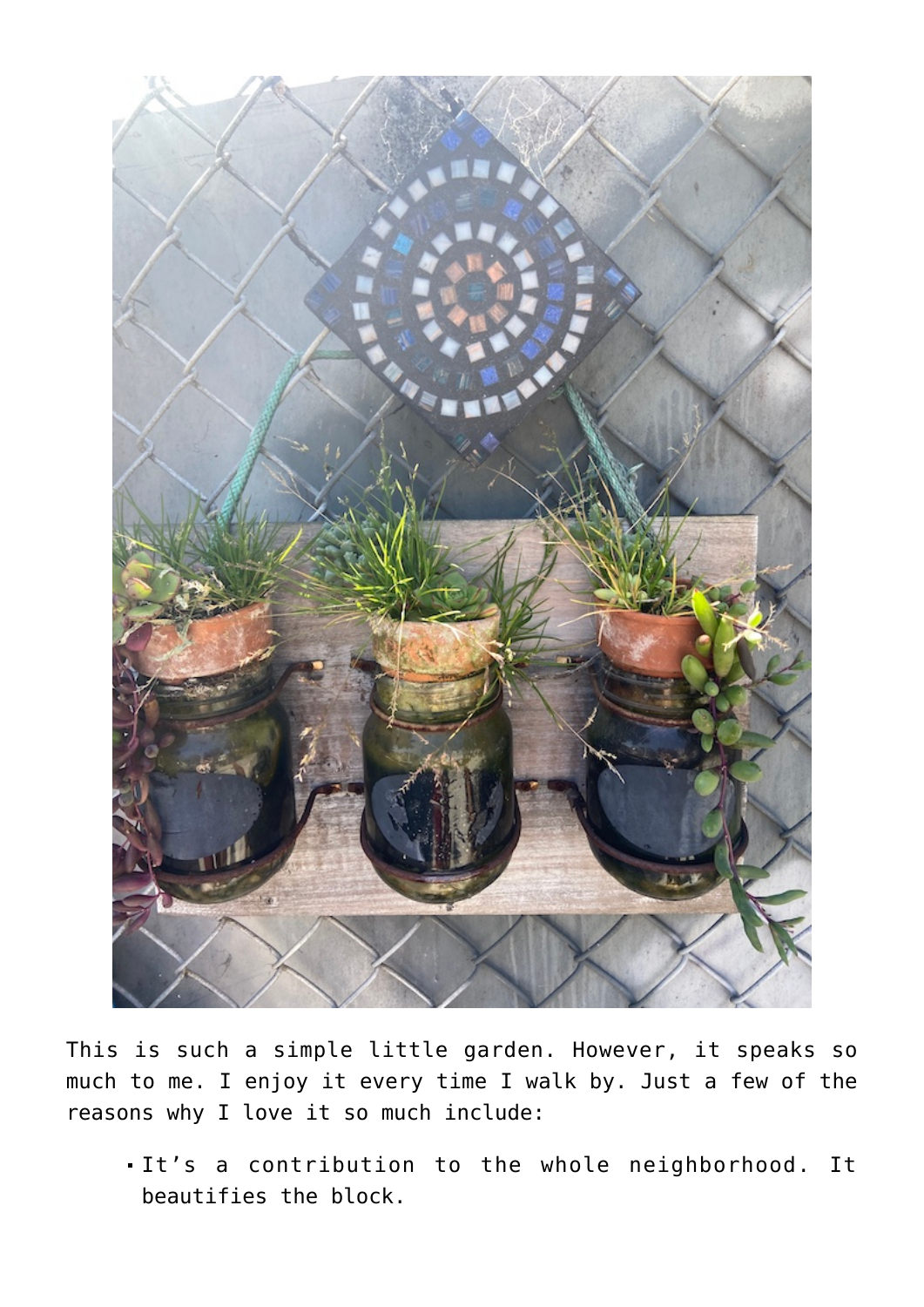

This is such a simple little garden. However, it speaks so much to me. I enjoy it every time I walk by. Just a few of the reasons why I love it so much include:

It's a contribution to the whole neighborhood. It beautifies the block.